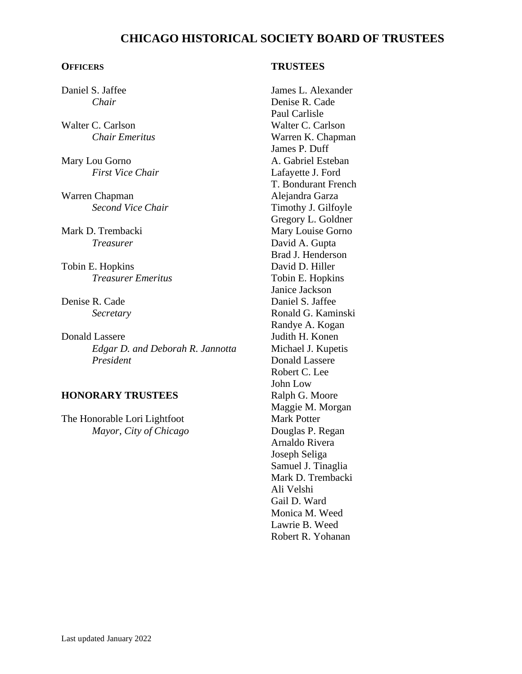# **CHICAGO HISTORICAL SOCIETY BOARD OF TRUSTEES**

#### **OFFICERS**

Daniel S. Jaffee *Chair*

Walter C. Carlson *Chair Emeritus*

Mary Lou Gorno *First Vice Chair*

Warren Chapman *Second Vice Chair*

Mark D. Trembacki *Treasurer*

Tobin E. Hopkins *Treasurer Emeritus*

Denise R. Cade *Secretary*

Donald Lassere *Edgar D. and Deborah R. Jannotta President*

## **HONORARY TRUSTEES**

The Honorable Lori Lightfoot *Mayor, City of Chicago*

#### **TRUSTEES**

James L. Alexander Denise R. Cade Paul Carlisle Walter C. Carlson Warren K. Chapman James P. Duff A. Gabriel Esteban Lafayette J. Ford T. Bondurant French Alejandra Garza Timothy J. Gilfoyle Gregory L. Goldner Mary Louise Gorno David A. Gupta Brad J. Henderson David D. Hiller Tobin E. Hopkins Janice Jackson Daniel S. Jaffee Ronald G. Kaminski Randye A. Kogan Judith H. Konen Michael J. Kupetis Donald Lassere Robert C. Lee John Low Ralph G. Moore Maggie M. Morgan Mark Potter Douglas P. Regan Arnaldo Rivera Joseph Seliga Samuel J. Tinaglia Mark D. Trembacki Ali Velshi Gail D. Ward Monica M. Weed Lawrie B. Weed Robert R. Yohanan